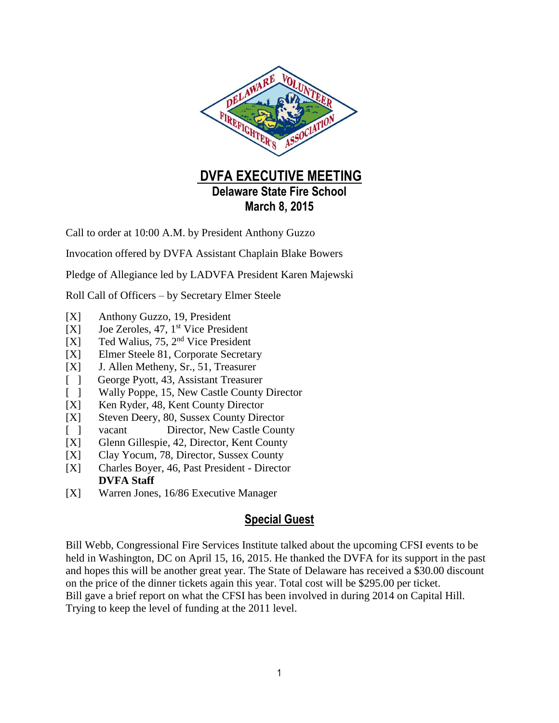

**March 8, 2015**

Call to order at 10:00 A.M. by President Anthony Guzzo

Invocation offered by DVFA Assistant Chaplain Blake Bowers

Pledge of Allegiance led by LADVFA President Karen Majewski

Roll Call of Officers – by Secretary Elmer Steele

- [X] Anthony Guzzo, 19, President
- [X] Joe Zeroles, 47, 1<sup>st</sup> Vice President
- [X] Ted Walius, 75, 2<sup>nd</sup> Vice President
- [X] Elmer Steele 81, Corporate Secretary
- [X] J. Allen Metheny, Sr., 51, Treasurer
- [ ] George Pyott, 43, Assistant Treasurer
- [ ] Wally Poppe, 15, New Castle County Director
- [X] Ken Ryder, 48, Kent County Director
- [X] Steven Deery, 80, Sussex County Director
- [ ] vacant Director, New Castle County
- [X] Glenn Gillespie, 42, Director, Kent County
- [X] Clay Yocum, 78, Director, Sussex County
- [X] Charles Boyer, 46, Past President Director **DVFA Staff**
- [X] Warren Jones, 16/86 Executive Manager

## **Special Guest**

Bill Webb, Congressional Fire Services Institute talked about the upcoming CFSI events to be held in Washington, DC on April 15, 16, 2015. He thanked the DVFA for its support in the past and hopes this will be another great year. The State of Delaware has received a \$30.00 discount on the price of the dinner tickets again this year. Total cost will be \$295.00 per ticket. Bill gave a brief report on what the CFSI has been involved in during 2014 on Capital Hill. Trying to keep the level of funding at the 2011 level.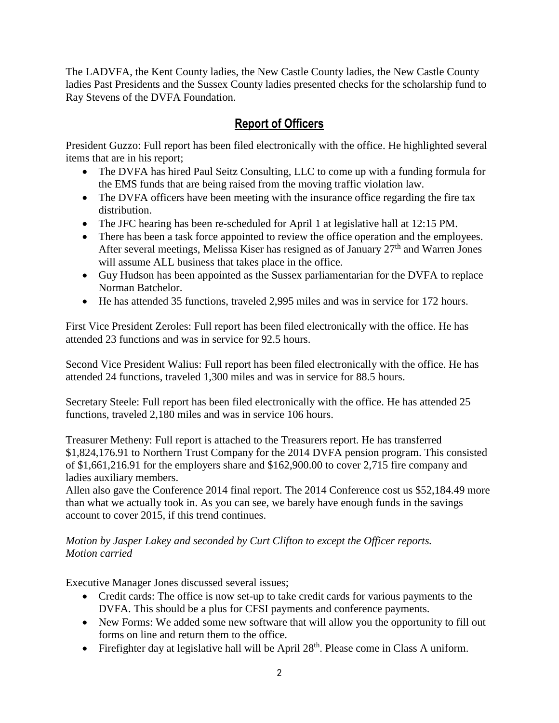The LADVFA, the Kent County ladies, the New Castle County ladies, the New Castle County ladies Past Presidents and the Sussex County ladies presented checks for the scholarship fund to Ray Stevens of the DVFA Foundation.

## **Report of Officers**

President Guzzo: Full report has been filed electronically with the office. He highlighted several items that are in his report;

- The DVFA has hired Paul Seitz Consulting, LLC to come up with a funding formula for the EMS funds that are being raised from the moving traffic violation law.
- The DVFA officers have been meeting with the insurance office regarding the fire tax distribution.
- The JFC hearing has been re-scheduled for April 1 at legislative hall at 12:15 PM.
- There has been a task force appointed to review the office operation and the employees. After several meetings, Melissa Kiser has resigned as of January  $27<sup>th</sup>$  and Warren Jones will assume ALL business that takes place in the office.
- Guy Hudson has been appointed as the Sussex parliamentarian for the DVFA to replace Norman Batchelor.
- He has attended 35 functions, traveled 2,995 miles and was in service for 172 hours.

First Vice President Zeroles: Full report has been filed electronically with the office. He has attended 23 functions and was in service for 92.5 hours.

Second Vice President Walius: Full report has been filed electronically with the office. He has attended 24 functions, traveled 1,300 miles and was in service for 88.5 hours.

Secretary Steele: Full report has been filed electronically with the office. He has attended 25 functions, traveled 2,180 miles and was in service 106 hours.

Treasurer Metheny: Full report is attached to the Treasurers report. He has transferred \$1,824,176.91 to Northern Trust Company for the 2014 DVFA pension program. This consisted of \$1,661,216.91 for the employers share and \$162,900.00 to cover 2,715 fire company and ladies auxiliary members.

Allen also gave the Conference 2014 final report. The 2014 Conference cost us \$52,184.49 more than what we actually took in. As you can see, we barely have enough funds in the savings account to cover 2015, if this trend continues.

#### *Motion by Jasper Lakey and seconded by Curt Clifton to except the Officer reports. Motion carried*

Executive Manager Jones discussed several issues;

- Credit cards: The office is now set-up to take credit cards for various payments to the DVFA. This should be a plus for CFSI payments and conference payments.
- New Forms: We added some new software that will allow you the opportunity to fill out forms on line and return them to the office.
- Firefighter day at legislative hall will be April  $28<sup>th</sup>$ . Please come in Class A uniform.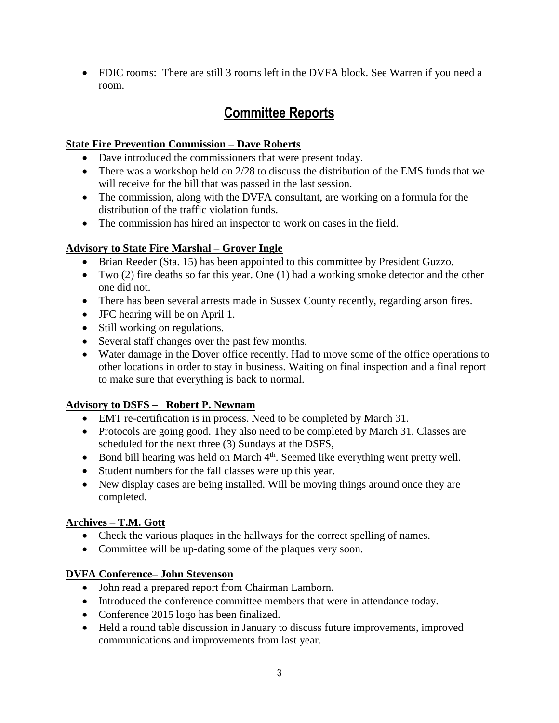FDIC rooms: There are still 3 rooms left in the DVFA block. See Warren if you need a room.

## **Committee Reports**

#### **State Fire Prevention Commission – Dave Roberts**

- Dave introduced the commissioners that were present today.
- There was a workshop held on 2/28 to discuss the distribution of the EMS funds that we will receive for the bill that was passed in the last session.
- The commission, along with the DVFA consultant, are working on a formula for the distribution of the traffic violation funds.
- The commission has hired an inspector to work on cases in the field.

### **Advisory to State Fire Marshal – Grover Ingle**

- Brian Reeder (Sta. 15) has been appointed to this committee by President Guzzo.
- Two (2) fire deaths so far this year. One (1) had a working smoke detector and the other one did not.
- There has been several arrests made in Sussex County recently, regarding arson fires.
- JFC hearing will be on April 1.
- Still working on regulations.
- Several staff changes over the past few months.
- Water damage in the Dover office recently. Had to move some of the office operations to other locations in order to stay in business. Waiting on final inspection and a final report to make sure that everything is back to normal.

### **Advisory to DSFS – Robert P. Newnam**

- EMT re-certification is in process. Need to be completed by March 31.
- Protocols are going good. They also need to be completed by March 31. Classes are scheduled for the next three (3) Sundays at the DSFS,
- $\bullet$  Bond bill hearing was held on March  $4<sup>th</sup>$ . Seemed like everything went pretty well.
- Student numbers for the fall classes were up this year.
- New display cases are being installed. Will be moving things around once they are completed.

#### **Archives – T.M. Gott**

- Check the various plaques in the hallways for the correct spelling of names.
- Committee will be up-dating some of the plaques very soon.

### **DVFA Conference– John Stevenson**

- John read a prepared report from Chairman Lamborn.
- Introduced the conference committee members that were in attendance today.
- Conference 2015 logo has been finalized.
- Held a round table discussion in January to discuss future improvements, improved communications and improvements from last year.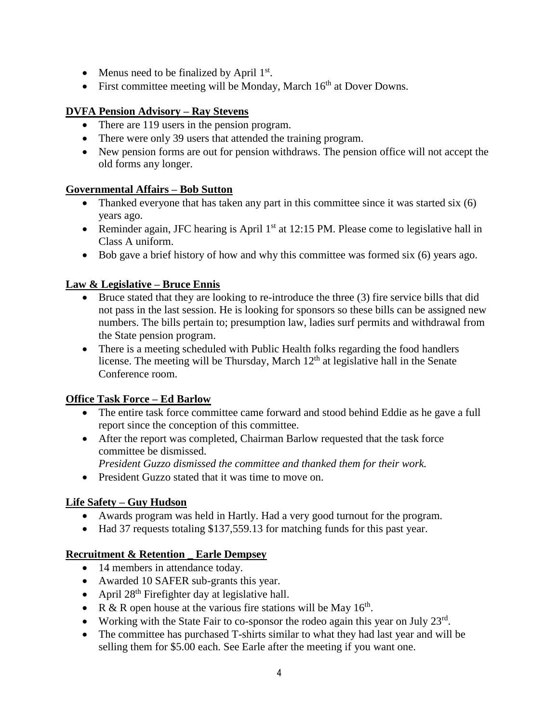- Menus need to be finalized by April  $1<sup>st</sup>$ .
- First committee meeting will be Monday, March  $16<sup>th</sup>$  at Dover Downs.

#### **DVFA Pension Advisory – Ray Stevens**

- There are 119 users in the pension program.
- There were only 39 users that attended the training program.
- New pension forms are out for pension withdraws. The pension office will not accept the old forms any longer.

#### **Governmental Affairs – Bob Sutton**

- Thanked everyone that has taken any part in this committee since it was started six  $(6)$ years ago.
- Reminder again, JFC hearing is April  $1<sup>st</sup>$  at 12:15 PM. Please come to legislative hall in Class A uniform.
- Bob gave a brief history of how and why this committee was formed six (6) years ago.

#### **Law & Legislative – Bruce Ennis**

- Bruce stated that they are looking to re-introduce the three (3) fire service bills that did not pass in the last session. He is looking for sponsors so these bills can be assigned new numbers. The bills pertain to; presumption law, ladies surf permits and withdrawal from the State pension program.
- There is a meeting scheduled with Public Health folks regarding the food handlers license. The meeting will be Thursday, March  $12<sup>th</sup>$  at legislative hall in the Senate Conference room.

#### **Office Task Force – Ed Barlow**

- The entire task force committee came forward and stood behind Eddie as he gave a full report since the conception of this committee.
- After the report was completed, Chairman Barlow requested that the task force committee be dismissed.

*President Guzzo dismissed the committee and thanked them for their work.*

• President Guzzo stated that it was time to move on.

### **Life Safety – Guy Hudson**

- Awards program was held in Hartly. Had a very good turnout for the program.
- Had 37 requests totaling \$137,559.13 for matching funds for this past year.

#### **Recruitment & Retention \_ Earle Dempsey**

- 14 members in attendance today.
- Awarded 10 SAFER sub-grants this year.
- April  $28<sup>th</sup>$  Firefighter day at legislative hall.
- R & R open house at the various fire stations will be May  $16<sup>th</sup>$ .
- Working with the State Fair to co-sponsor the rodeo again this year on July  $23<sup>rd</sup>$ .
- The committee has purchased T-shirts similar to what they had last year and will be selling them for \$5.00 each. See Earle after the meeting if you want one.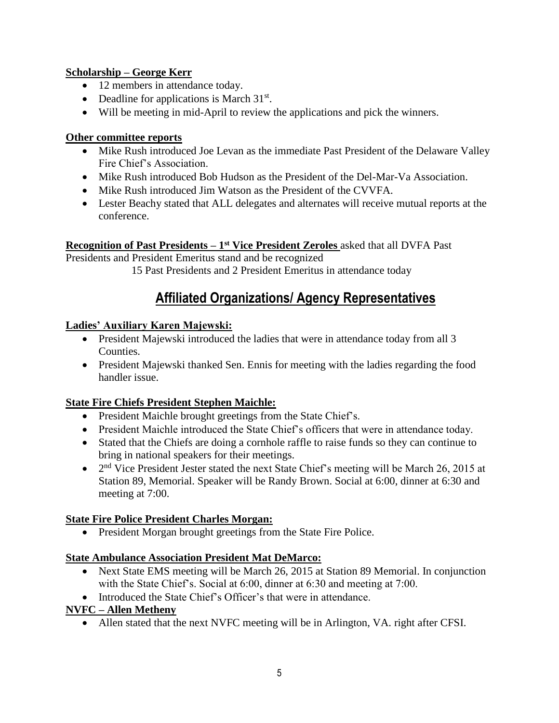### **Scholarship – George Kerr**

- 12 members in attendance today.
- Deadline for applications is March  $31<sup>st</sup>$ .
- Will be meeting in mid-April to review the applications and pick the winners.

#### **Other committee reports**

- Mike Rush introduced Joe Levan as the immediate Past President of the Delaware Valley Fire Chief's Association.
- Mike Rush introduced Bob Hudson as the President of the Del-Mar-Va Association.
- Mike Rush introduced Jim Watson as the President of the CVVFA.
- Lester Beachy stated that ALL delegates and alternates will receive mutual reports at the conference.

## **Recognition of Past Presidents – 1 st Vice President Zeroles** asked that all DVFA Past

Presidents and President Emeritus stand and be recognized

15 Past Presidents and 2 President Emeritus in attendance today

## **Affiliated Organizations/ Agency Representatives**

#### **Ladies' Auxiliary Karen Majewski:**

- President Majewski introduced the ladies that were in attendance today from all 3 Counties.
- President Majewski thanked Sen. Ennis for meeting with the ladies regarding the food handler issue.

### **State Fire Chiefs President Stephen Maichle:**

- President Maichle brought greetings from the State Chief's.
- President Maichle introduced the State Chief's officers that were in attendance today.
- Stated that the Chiefs are doing a cornhole raffle to raise funds so they can continue to bring in national speakers for their meetings.
- $\bullet$  2<sup>nd</sup> Vice President Jester stated the next State Chief's meeting will be March 26, 2015 at Station 89, Memorial. Speaker will be Randy Brown. Social at 6:00, dinner at 6:30 and meeting at 7:00.

### **State Fire Police President Charles Morgan:**

• President Morgan brought greetings from the State Fire Police.

### **State Ambulance Association President Mat DeMarco:**

- Next State EMS meeting will be March 26, 2015 at Station 89 Memorial. In conjunction with the State Chief's. Social at 6:00, dinner at 6:30 and meeting at 7:00.
- Introduced the State Chief's Officer's that were in attendance.

### **NVFC – Allen Metheny**

Allen stated that the next NVFC meeting will be in Arlington, VA. right after CFSI.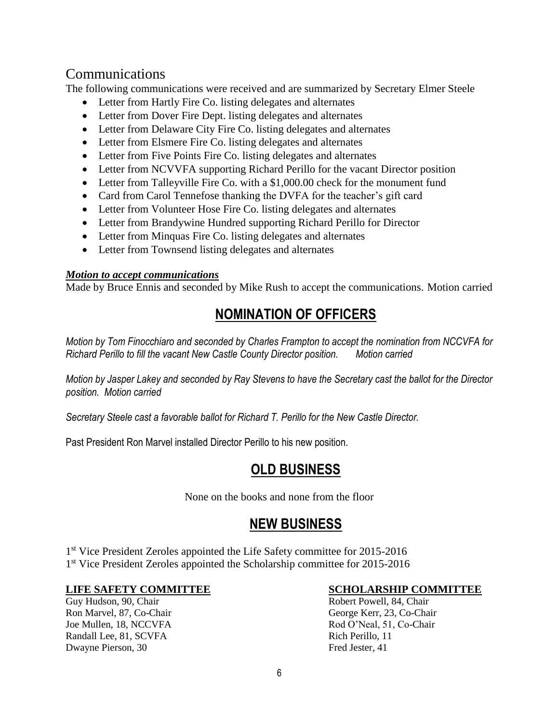## Communications

The following communications were received and are summarized by Secretary Elmer Steele

- Letter from Hartly Fire Co. listing delegates and alternates
- Letter from Dover Fire Dept. listing delegates and alternates
- Letter from Delaware City Fire Co. listing delegates and alternates
- Letter from Elsmere Fire Co. listing delegates and alternates
- Letter from Five Points Fire Co. listing delegates and alternates
- Letter from NCVVFA supporting Richard Perillo for the vacant Director position
- Letter from Talleyville Fire Co. with a \$1,000.00 check for the monument fund
- Card from Carol Tennefose thanking the DVFA for the teacher's gift card
- Letter from Volunteer Hose Fire Co. listing delegates and alternates
- Letter from Brandywine Hundred supporting Richard Perillo for Director
- Letter from Minquas Fire Co. listing delegates and alternates
- Letter from Townsend listing delegates and alternates

#### *Motion to accept communications*

Made by Bruce Ennis and seconded by Mike Rush to accept the communications. Motion carried

# **NOMINATION OF OFFICERS**

*Motion by Tom Finocchiaro and seconded by Charles Frampton to accept the nomination from NCCVFA for Richard Perillo to fill the vacant New Castle County Director position. Motion carried* 

*Motion by Jasper Lakey and seconded by Ray Stevens to have the Secretary cast the ballot for the Director position. Motion carried*

*Secretary Steele cast a favorable ballot for Richard T. Perillo for the New Castle Director.* 

Past President Ron Marvel installed Director Perillo to his new position.

## **OLD BUSINESS**

None on the books and none from the floor

## **NEW BUSINESS**

1<sup>st</sup> Vice President Zeroles appointed the Life Safety committee for 2015-2016 1<sup>st</sup> Vice President Zeroles appointed the Scholarship committee for 2015-2016

Joe Mullen, 18, NCCVFA Rod O'Neal, 51, Co-Chair Randall Lee, 81, SCVFA Rich Perillo, 11 Dwayne Pierson, 30 Fred Jester, 41

#### **LIFE SAFETY COMMITTEE SCHOLARSHIP COMMITTEE**

Guy Hudson, 90, Chair **Robert Powell**, 84, Chair **Robert Powell**, 84, Chair Ron Marvel, 87, Co-Chair George Kerr, 23, Co-Chair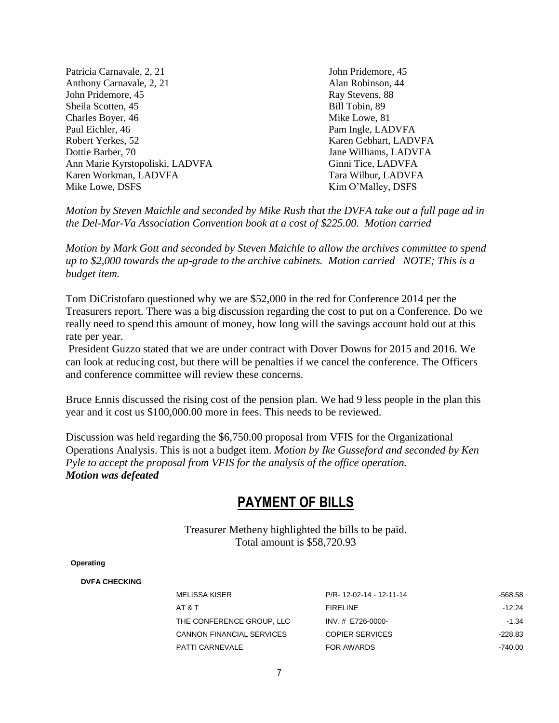Patricia Carnavale, 2, 21 John Pridemore, 45 Anthony Carnavale, 2, 21 Alan Robinson, 44 John Pridemore, 45 Ray Stevens, 88 Sheila Scotten, 45 Bill Tobin, 89 Charles Boyer, 46 Mike Lowe, 81 Paul Eichler, 46 Paul Eichler, 46 Paul Eichler, 46 Paul Eichler, 46 Paul Eichler, 46 Paul Eichler, 46 Paul Eichler, 46 Paul Eichler, 46 Paul Eichler, 46 Paul Eichler, 46 Paul Eichler, 46 Paul Eichler, 46 Paul Eichler, 46 P Robert Yerkes, 52 Karen Gebhart, LADVFA Dottie Barber, 70 Jane Williams, LADVFA Ann Marie Kyrstopoliski, LADVFA Ginni Tice, LADVFA Karen Workman, LADVFA Tara Wilbur, LADVFA Mike Lowe, DSFS Kim O'Malley, DSFS

*Motion by Steven Maichle and seconded by Mike Rush that the DVFA take out a full page ad in the Del-Mar-Va Association Convention book at a cost of \$225.00. Motion carried*

*Motion by Mark Gott and seconded by Steven Maichle to allow the archives committee to spend up to \$2,000 towards the up-grade to the archive cabinets. Motion carried NOTE; This is a budget item.*

Tom DiCristofaro questioned why we are \$52,000 in the red for Conference 2014 per the Treasurers report. There was a big discussion regarding the cost to put on a Conference. Do we really need to spend this amount of money, how long will the savings account hold out at this rate per year.

President Guzzo stated that we are under contract with Dover Downs for 2015 and 2016. We can look at reducing cost, but there will be penalties if we cancel the conference. The Officers and conference committee will review these concerns.

Bruce Ennis discussed the rising cost of the pension plan. We had 9 less people in the plan this year and it cost us \$100,000.00 more in fees. This needs to be reviewed.

Discussion was held regarding the \$6,750.00 proposal from VFIS for the Organizational Operations Analysis. This is not a budget item. *Motion by Ike Gusseford and seconded by Ken Pyle to accept the proposal from VFIS for the analysis of the office operation. Motion was defeated* 

## **PAYMENT OF BILLS**

Treasurer Metheny highlighted the bills to be paid. Total amount is \$58,720.93

#### **Operating**

#### **DVFA CHECKING**

| MELISSA KISER                    | P/R-12-02-14 - 12-11-14 | -568.58  |
|----------------------------------|-------------------------|----------|
| AT & T                           | <b>FIRELINE</b>         | $-12.24$ |
| THE CONFERENCE GROUP. LLC        | INV. # E726-0000-       | -1.34    |
| <b>CANNON FINANCIAL SERVICES</b> | <b>COPIER SERVICES</b>  | -228.83  |
| PATTI CARNEVALE                  | FOR AWARDS              | -740.00  |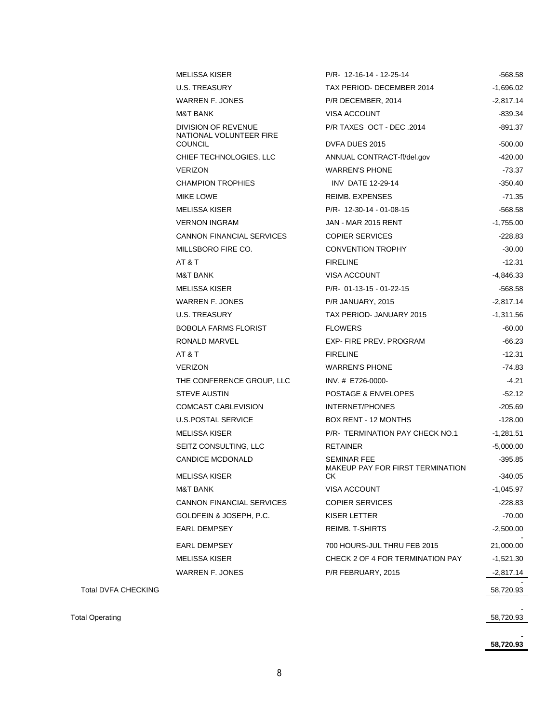| <b>MELISSA KISER</b>                           | P/R- 12-16-14 - 12-25-14                               | -568.58     |
|------------------------------------------------|--------------------------------------------------------|-------------|
| <b>U.S. TREASURY</b>                           | TAX PERIOD- DECEMBER 2014                              | $-1,696.02$ |
| WARREN F. JONES                                | P/R DECEMBER, 2014                                     | $-2,817.14$ |
| <b>M&amp;T BANK</b>                            | VISA ACCOUNT                                           | -839.34     |
| DIVISION OF REVENUE<br>NATIONAL VOLUNTEER FIRE | P/R TAXES OCT - DEC .2014                              | -891.37     |
| <b>COUNCIL</b>                                 | DVFA DUES 2015                                         | $-500.00$   |
| CHIEF TECHNOLOGIES, LLC                        | ANNUAL CONTRACT-ff/del.gov                             | -420.00     |
| <b>VERIZON</b>                                 | <b>WARREN'S PHONE</b>                                  | $-73.37$    |
| <b>CHAMPION TROPHIES</b>                       | <b>INV DATE 12-29-14</b>                               | $-350.40$   |
| MIKE LOWE                                      | <b>REIMB. EXPENSES</b>                                 | -71.35      |
| <b>MELISSA KISER</b>                           | P/R- 12-30-14 - 01-08-15                               | -568.58     |
| <b>VERNON INGRAM</b>                           | <b>JAN - MAR 2015 RENT</b>                             | $-1,755.00$ |
| CANNON FINANCIAL SERVICES                      | <b>COPIER SERVICES</b>                                 | $-228.83$   |
| MILLSBORO FIRE CO.                             | <b>CONVENTION TROPHY</b>                               | $-30.00$    |
| AT&T                                           | <b>FIRELINE</b>                                        | $-12.31$    |
| <b>M&amp;T BANK</b>                            | VISA ACCOUNT                                           | -4,846.33   |
| <b>MELISSA KISER</b>                           | $P/R - 01 - 13 - 15 - 01 - 22 - 15$                    | -568.58     |
| WARREN F. JONES                                | P/R JANUARY, 2015                                      | $-2,817.14$ |
| U.S. TREASURY                                  | TAX PERIOD- JANUARY 2015                               | $-1,311.56$ |
| <b>BOBOLA FARMS FLORIST</b>                    | <b>FLOWERS</b>                                         | $-60.00$    |
| RONALD MARVEL                                  | EXP-FIRE PREV. PROGRAM                                 | -66.23      |
| AT&T                                           | <b>FIRELINE</b>                                        | $-12.31$    |
| <b>VERIZON</b>                                 | <b>WARREN'S PHONE</b>                                  | -74.83      |
| THE CONFERENCE GROUP, LLC                      | INV. # E726-0000-                                      | $-4.21$     |
| <b>STEVE AUSTIN</b>                            | POSTAGE & ENVELOPES                                    | $-52.12$    |
| <b>COMCAST CABLEVISION</b>                     | <b>INTERNET/PHONES</b>                                 | $-205.69$   |
| <b>U.S.POSTAL SERVICE</b>                      | <b>BOX RENT - 12 MONTHS</b>                            | -128.00     |
| <b>MELISSA KISER</b>                           | P/R- TERMINATION PAY CHECK NO.1                        | $-1,281.51$ |
| SEITZ CONSULTING, LLC                          | <b>RETAINER</b>                                        | $-5,000.00$ |
| <b>CANDICE MCDONALD</b>                        | <b>SEMINAR FEE</b><br>MAKEUP PAY FOR FIRST TERMINATION | -395.85     |
| <b>MELISSA KISER</b>                           | СK                                                     | -340.05     |
| <b>M&amp;T BANK</b>                            | <b>VISA ACCOUNT</b>                                    | -1,045.97   |
| <b>CANNON FINANCIAL SERVICES</b>               | <b>COPIER SERVICES</b>                                 | -228.83     |
| GOLDFEIN & JOSEPH, P.C.                        | KISER LETTER                                           | $-70.00$    |
| <b>EARL DEMPSEY</b>                            | REIMB. T-SHIRTS                                        | $-2,500.00$ |
| <b>EARL DEMPSEY</b>                            | 700 HOURS-JUL THRU FEB 2015                            | 21,000.00   |
| <b>MELISSA KISER</b>                           | CHECK 2 OF 4 FOR TERMINATION PAY                       | $-1,521.30$ |
| WARREN F. JONES                                | P/R FEBRUARY, 2015                                     | -2,817.14   |
|                                                |                                                        | 58,720.93   |
|                                                |                                                        | 58,720.93   |
|                                                |                                                        |             |

**- 58,720.93**

Total DVFA CHECKING

Total Operating